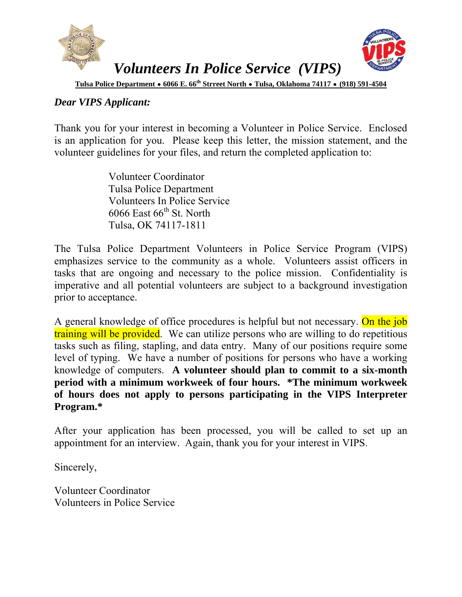

### *Dear VIPS Applicant:*

Thank you for your interest in becoming a Volunteer in Police Service. Enclosed is an application for you. Please keep this letter, the mission statement, and the volunteer guidelines for your files, and return the completed application to:

> Volunteer Coordinator Tulsa Police Department Volunteers In Police Service  $6066$  East  $66^{\text{th}}$  St. North Tulsa, OK 74117-1811

The Tulsa Police Department Volunteers in Police Service Program (VIPS) emphasizes service to the community as a whole. Volunteers assist officers in tasks that are ongoing and necessary to the police mission. Confidentiality is imperative and all potential volunteers are subject to a background investigation prior to acceptance.

A general knowledge of office procedures is helpful but not necessary. On the job training will be provided. We can utilize persons who are willing to do repetitious tasks such as filing, stapling, and data entry. Many of our positions require some level of typing. We have a number of positions for persons who have a working knowledge of computers. **A volunteer should plan to commit to a six-month period with a minimum workweek of four hours. \*The minimum workweek of hours does not apply to persons participating in the VIPS Interpreter Program.\***

After your application has been processed, you will be called to set up an appointment for an interview. Again, thank you for your interest in VIPS.

Sincerely,

Volunteer Coordinator Volunteers in Police Service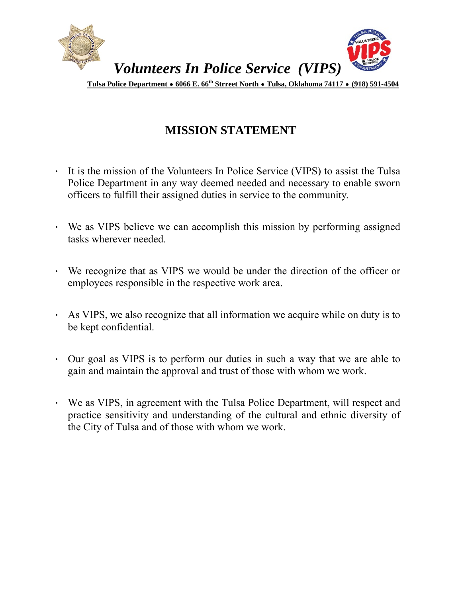

## **MISSION STATEMENT**

- ٠ It is the mission of the Volunteers In Police Service (VIPS) to assist the Tulsa Police Department in any way deemed needed and necessary to enable sworn officers to fulfill their assigned duties in service to the community.
- We as VIPS believe we can accomplish this mission by performing assigned tasks wherever needed.
- ٠ We recognize that as VIPS we would be under the direction of the officer or employees responsible in the respective work area.
- ٠ As VIPS, we also recognize that all information we acquire while on duty is to be kept confidential.
- ٠ Our goal as VIPS is to perform our duties in such a way that we are able to gain and maintain the approval and trust of those with whom we work.
- ٠ We as VIPS, in agreement with the Tulsa Police Department, will respect and practice sensitivity and understanding of the cultural and ethnic diversity of the City of Tulsa and of those with whom we work.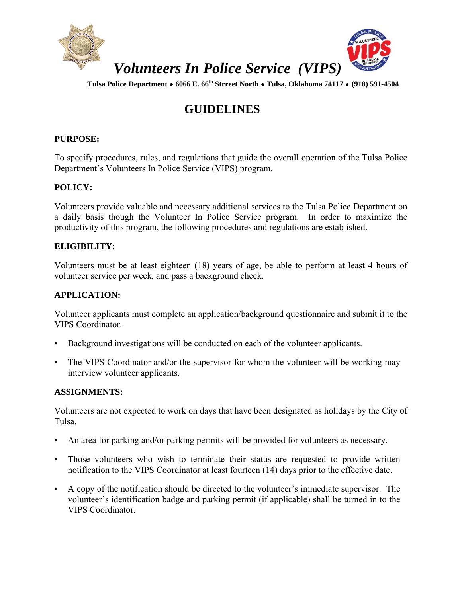

## **GUIDELINES**

#### **PURPOSE:**

To specify procedures, rules, and regulations that guide the overall operation of the Tulsa Police Department's Volunteers In Police Service (VIPS) program.

#### **POLICY:**

Volunteers provide valuable and necessary additional services to the Tulsa Police Department on a daily basis though the Volunteer In Police Service program. In order to maximize the productivity of this program, the following procedures and regulations are established.

#### **ELIGIBILITY:**

Volunteers must be at least eighteen (18) years of age, be able to perform at least 4 hours of volunteer service per week, and pass a background check.

#### **APPLICATION:**

Volunteer applicants must complete an application/background questionnaire and submit it to the VIPS Coordinator.

- Background investigations will be conducted on each of the volunteer applicants.
- The VIPS Coordinator and/or the supervisor for whom the volunteer will be working may interview volunteer applicants.

#### **ASSIGNMENTS:**

Volunteers are not expected to work on days that have been designated as holidays by the City of Tulsa.

- An area for parking and/or parking permits will be provided for volunteers as necessary.
- Those volunteers who wish to terminate their status are requested to provide written notification to the VIPS Coordinator at least fourteen (14) days prior to the effective date.
- A copy of the notification should be directed to the volunteer's immediate supervisor. The volunteer's identification badge and parking permit (if applicable) shall be turned in to the VIPS Coordinator.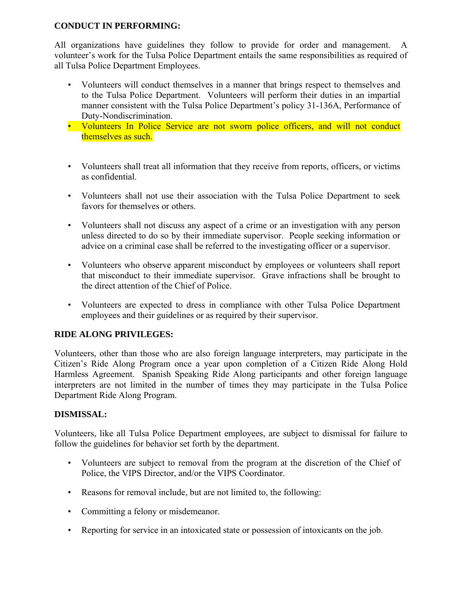#### **CONDUCT IN PERFORMING:**

All organizations have guidelines they follow to provide for order and management. A volunteer's work for the Tulsa Police Department entails the same responsibilities as required of all Tulsa Police Department Employees.

- Volunteers will conduct themselves in a manner that brings respect to themselves and to the Tulsa Police Department. Volunteers will perform their duties in an impartial manner consistent with the Tulsa Police Department's policy 31-136A, Performance of Duty-Nondiscrimination.
- Volunteers In Police Service are not sworn police officers, and will not conduct themselves as such.
- Volunteers shall treat all information that they receive from reports, officers, or victims as confidential.
- Volunteers shall not use their association with the Tulsa Police Department to seek favors for themselves or others.
- Volunteers shall not discuss any aspect of a crime or an investigation with any person unless directed to do so by their immediate supervisor. People seeking information or advice on a criminal case shall be referred to the investigating officer or a supervisor.
- Volunteers who observe apparent misconduct by employees or volunteers shall report that misconduct to their immediate supervisor. Grave infractions shall be brought to the direct attention of the Chief of Police.
- Volunteers are expected to dress in compliance with other Tulsa Police Department employees and their guidelines or as required by their supervisor.

#### **RIDE ALONG PRIVILEGES:**

Volunteers, other than those who are also foreign language interpreters, may participate in the Citizen's Ride Along Program once a year upon completion of a Citizen Ride Along Hold Harmless Agreement. Spanish Speaking Ride Along participants and other foreign language interpreters are not limited in the number of times they may participate in the Tulsa Police Department Ride Along Program.

#### **DISMISSAL:**

Volunteers, like all Tulsa Police Department employees, are subject to dismissal for failure to follow the guidelines for behavior set forth by the department.

- Volunteers are subject to removal from the program at the discretion of the Chief of Police, the VIPS Director, and/or the VIPS Coordinator.
- Reasons for removal include, but are not limited to, the following:
- Committing a felony or misdemeanor.
- Reporting for service in an intoxicated state or possession of intoxicants on the job.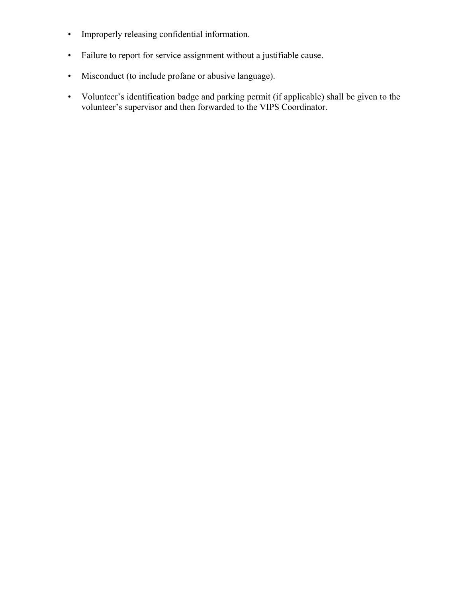- Improperly releasing confidential information.
- Failure to report for service assignment without a justifiable cause.
- Misconduct (to include profane or abusive language).
- Volunteer's identification badge and parking permit (if applicable) shall be given to the volunteer's supervisor and then forwarded to the VIPS Coordinator.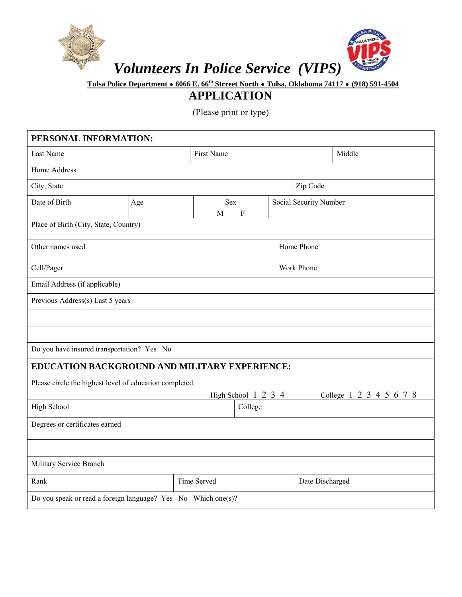

# *Volunteers In Police Service (VIPS)*



 **Tulsa Police Department** ∙ **6066 E. 66th Strreet North** ∙ **Tulsa, Oklahoma 74117** ∙ **(918) 591-4504** 

## **APPLICATION**

(Please print or type)

| PERSONAL INFORMATION:                                         |     |                            |                     |            |                         |  |  |
|---------------------------------------------------------------|-----|----------------------------|---------------------|------------|-------------------------|--|--|
| Last Name                                                     |     | First Name                 |                     |            | Middle                  |  |  |
| Home Address                                                  |     |                            |                     |            |                         |  |  |
| City, State                                                   |     |                            |                     |            | Zip Code                |  |  |
| Date of Birth                                                 | Age | <b>Sex</b><br>$\rm F$<br>M |                     |            | Social Security Number  |  |  |
| Place of Birth (City, State, Country)                         |     |                            |                     |            |                         |  |  |
| Other names used                                              |     |                            |                     | Home Phone |                         |  |  |
| Cell/Pager                                                    |     |                            |                     |            | Work Phone              |  |  |
| Email Address (if applicable)                                 |     |                            |                     |            |                         |  |  |
| Previous Address(s) Last 5 years                              |     |                            |                     |            |                         |  |  |
|                                                               |     |                            |                     |            |                         |  |  |
|                                                               |     |                            |                     |            |                         |  |  |
| Do you have insured transportation? Yes No                    |     |                            |                     |            |                         |  |  |
| EDUCATION BACKGROUND AND MILITARY EXPERIENCE:                 |     |                            |                     |            |                         |  |  |
| Please circle the highest level of education completed:       |     |                            |                     |            |                         |  |  |
|                                                               |     |                            | High School 1 2 3 4 |            | College 1 2 3 4 5 6 7 8 |  |  |
| <b>High School</b>                                            |     |                            | College             |            |                         |  |  |
| Degrees or certificates earned                                |     |                            |                     |            |                         |  |  |
|                                                               |     |                            |                     |            |                         |  |  |
| Military Service Branch                                       |     |                            |                     |            |                         |  |  |
| Rank                                                          |     | Time Served                |                     |            | Date Discharged         |  |  |
| Do you speak or read a foreign language? Yes No Which one(s)? |     |                            |                     |            |                         |  |  |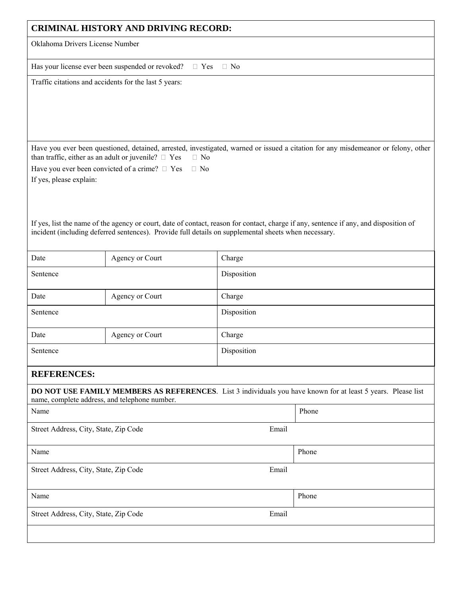| <b>CRIMINAL HISTORY AND DRIVING RECORD:</b>                                                                                                                                                                                                   |                                                                          |             |                                                                                                                                   |  |
|-----------------------------------------------------------------------------------------------------------------------------------------------------------------------------------------------------------------------------------------------|--------------------------------------------------------------------------|-------------|-----------------------------------------------------------------------------------------------------------------------------------|--|
| Oklahoma Drivers License Number                                                                                                                                                                                                               |                                                                          |             |                                                                                                                                   |  |
|                                                                                                                                                                                                                                               | Has your license ever been suspended or revoked?<br>$\Box$ Yes           | $\Box$ No   |                                                                                                                                   |  |
|                                                                                                                                                                                                                                               | Traffic citations and accidents for the last 5 years:                    |             |                                                                                                                                   |  |
|                                                                                                                                                                                                                                               | than traffic, either as an adult or juvenile? $\square$ Yes<br>$\Box$ No |             | Have you ever been questioned, detained, arrested, investigated, warned or issued a citation for any misdemeanor or felony, other |  |
|                                                                                                                                                                                                                                               | Have you ever been convicted of a crime? $\Box$ Yes<br>$\Box$ No         |             |                                                                                                                                   |  |
| If yes, please explain:                                                                                                                                                                                                                       |                                                                          |             |                                                                                                                                   |  |
| If yes, list the name of the agency or court, date of contact, reason for contact, charge if any, sentence if any, and disposition of<br>incident (including deferred sentences). Provide full details on supplemental sheets when necessary. |                                                                          |             |                                                                                                                                   |  |
| Date                                                                                                                                                                                                                                          | Agency or Court                                                          | Charge      |                                                                                                                                   |  |
| Sentence                                                                                                                                                                                                                                      |                                                                          | Disposition |                                                                                                                                   |  |
| Date                                                                                                                                                                                                                                          | Agency or Court                                                          | Charge      |                                                                                                                                   |  |
| Sentence                                                                                                                                                                                                                                      |                                                                          | Disposition |                                                                                                                                   |  |
| Date                                                                                                                                                                                                                                          | Agency or Court                                                          | Charge      |                                                                                                                                   |  |
| Sentence                                                                                                                                                                                                                                      |                                                                          | Disposition |                                                                                                                                   |  |
| <b>REFERENCES:</b>                                                                                                                                                                                                                            |                                                                          |             |                                                                                                                                   |  |
| DO NOT USE FAMILY MEMBERS AS REFERENCES. List 3 individuals you have known for at least 5 years. Please list<br>name, complete address, and telephone number.                                                                                 |                                                                          |             |                                                                                                                                   |  |
| Name                                                                                                                                                                                                                                          |                                                                          |             | Phone                                                                                                                             |  |
| Street Address, City, State, Zip Code                                                                                                                                                                                                         |                                                                          | Email       |                                                                                                                                   |  |
| Name                                                                                                                                                                                                                                          |                                                                          |             | Phone                                                                                                                             |  |
| Street Address, City, State, Zip Code                                                                                                                                                                                                         |                                                                          | Email       |                                                                                                                                   |  |
| Name                                                                                                                                                                                                                                          |                                                                          |             | Phone                                                                                                                             |  |
| Street Address, City, State, Zip Code                                                                                                                                                                                                         |                                                                          | Email       |                                                                                                                                   |  |
|                                                                                                                                                                                                                                               |                                                                          |             |                                                                                                                                   |  |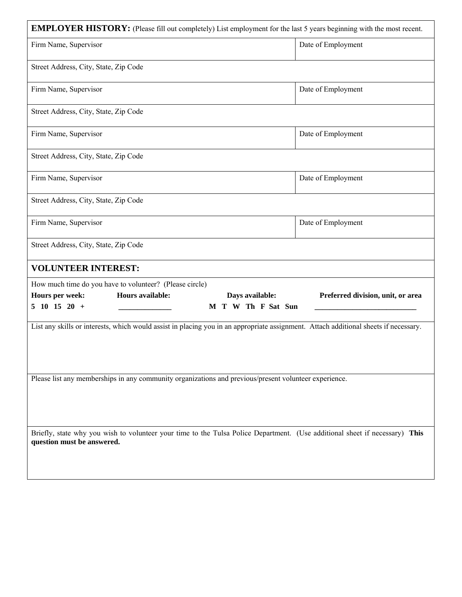| <b>EMPLOYER HISTORY:</b> (Please fill out completely) List employment for the last 5 years beginning with the most recent.                                |                                                                                                       |  |                    |
|-----------------------------------------------------------------------------------------------------------------------------------------------------------|-------------------------------------------------------------------------------------------------------|--|--------------------|
| Firm Name, Supervisor                                                                                                                                     |                                                                                                       |  | Date of Employment |
| Street Address, City, State, Zip Code                                                                                                                     |                                                                                                       |  |                    |
| Firm Name, Supervisor                                                                                                                                     |                                                                                                       |  | Date of Employment |
| Street Address, City, State, Zip Code                                                                                                                     |                                                                                                       |  |                    |
| Firm Name, Supervisor                                                                                                                                     |                                                                                                       |  | Date of Employment |
| Street Address, City, State, Zip Code                                                                                                                     |                                                                                                       |  |                    |
| Firm Name, Supervisor                                                                                                                                     |                                                                                                       |  | Date of Employment |
| Street Address, City, State, Zip Code                                                                                                                     |                                                                                                       |  |                    |
| Firm Name, Supervisor                                                                                                                                     |                                                                                                       |  | Date of Employment |
| Street Address, City, State, Zip Code                                                                                                                     |                                                                                                       |  |                    |
| <b>VOLUNTEER INTEREST:</b>                                                                                                                                |                                                                                                       |  |                    |
|                                                                                                                                                           | How much time do you have to volunteer? (Please circle)                                               |  |                    |
| Hours per week:<br>$5\ 10\ 15\ 20\ +$                                                                                                                     | <b>Hours available:</b><br>Days available:<br>Preferred division, unit, or area<br>M T W Th F Sat Sun |  |                    |
| List any skills or interests, which would assist in placing you in an appropriate assignment. Attach additional sheets if necessary.                      |                                                                                                       |  |                    |
|                                                                                                                                                           |                                                                                                       |  |                    |
| Please list any memberships in any community organizations and previous/present volunteer experience.                                                     |                                                                                                       |  |                    |
|                                                                                                                                                           |                                                                                                       |  |                    |
|                                                                                                                                                           |                                                                                                       |  |                    |
| Briefly, state why you wish to volunteer your time to the Tulsa Police Department. (Use additional sheet if necessary) This<br>question must be answered. |                                                                                                       |  |                    |
|                                                                                                                                                           |                                                                                                       |  |                    |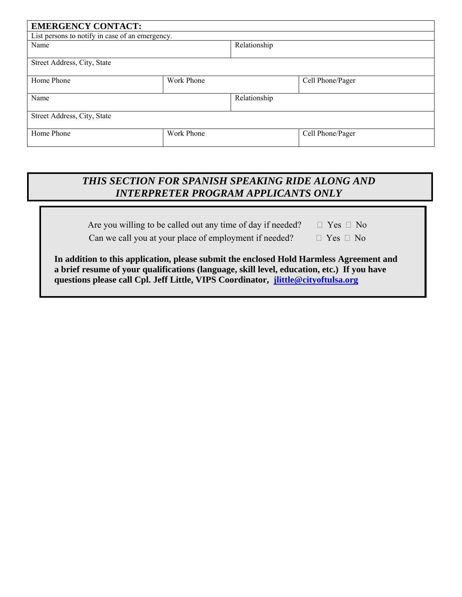| <b>EMERGENCY CONTACT:</b>                       |            |              |                  |  |
|-------------------------------------------------|------------|--------------|------------------|--|
| List persons to notify in case of an emergency. |            |              |                  |  |
| Name                                            |            | Relationship |                  |  |
| Street Address, City, State                     |            |              |                  |  |
| Home Phone                                      | Work Phone |              | Cell Phone/Pager |  |
| Name                                            |            | Relationship |                  |  |
| Street Address, City, State                     |            |              |                  |  |
| Home Phone                                      | Work Phone |              | Cell Phone/Pager |  |

## *THIS SECTION FOR SPANISH SPEAKING RIDE ALONG AND INTERPRETER PROGRAM APPLICANTS ONLY*

Are you willing to be called out any time of day if needed?  $\Box$  Yes  $\Box$  No

Can we call you at your place of employment if needed?  $\Box$  Yes  $\Box$  No

**In addition to this application, please submit the enclosed Hold Harmless Agreement and a brief resume of your qualifications (language, skill level, education, etc.) If you have questions please call Cpl. Jeff Little, VIPS Coordinator, jlittle@cityoftulsa.org**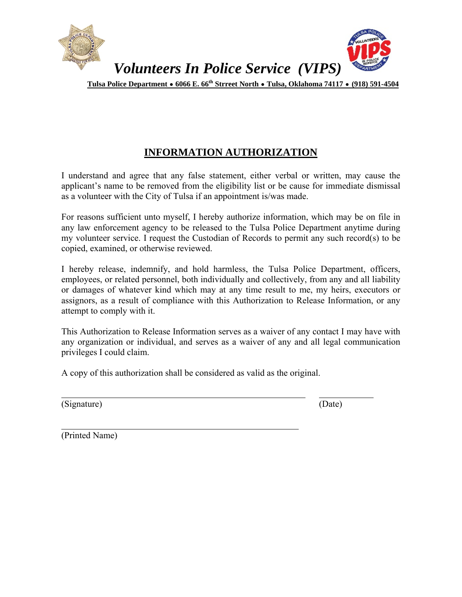

## **INFORMATION AUTHORIZATION**

I understand and agree that any false statement, either verbal or written, may cause the applicant's name to be removed from the eligibility list or be cause for immediate dismissal as a volunteer with the City of Tulsa if an appointment is/was made.

For reasons sufficient unto myself, I hereby authorize information, which may be on file in any law enforcement agency to be released to the Tulsa Police Department anytime during my volunteer service. I request the Custodian of Records to permit any such record(s) to be copied, examined, or otherwise reviewed.

I hereby release, indemnify, and hold harmless, the Tulsa Police Department, officers, employees, or related personnel, both individually and collectively, from any and all liability or damages of whatever kind which may at any time result to me, my heirs, executors or assignors, as a result of compliance with this Authorization to Release Information, or any attempt to comply with it.

This Authorization to Release Information serves as a waiver of any contact I may have with any organization or individual, and serves as a waiver of any and all legal communication privileges I could claim.

A copy of this authorization shall be considered as valid as the original.

(Signature) (Date)

l

 $\overline{a}$ 

(Printed Name)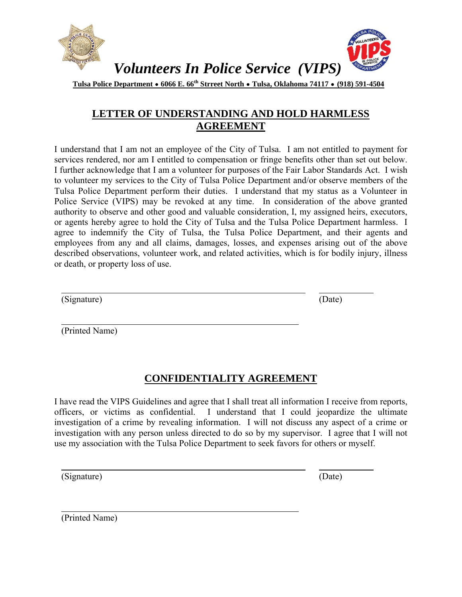

### **LETTER OF UNDERSTANDING AND HOLD HARMLESS AGREEMENT**

I understand that I am not an employee of the City of Tulsa. I am not entitled to payment for services rendered, nor am I entitled to compensation or fringe benefits other than set out below. I further acknowledge that I am a volunteer for purposes of the Fair Labor Standards Act. I wish to volunteer my services to the City of Tulsa Police Department and/or observe members of the Tulsa Police Department perform their duties. I understand that my status as a Volunteer in Police Service (VIPS) may be revoked at any time. In consideration of the above granted authority to observe and other good and valuable consideration, I, my assigned heirs, executors, or agents hereby agree to hold the City of Tulsa and the Tulsa Police Department harmless. I agree to indemnify the City of Tulsa, the Tulsa Police Department, and their agents and employees from any and all claims, damages, losses, and expenses arising out of the above described observations, volunteer work, and related activities, which is for bodily injury, illness or death, or property loss of use.

(Signature) (Date)

 $\overline{a}$ 

l

(Printed Name)

## **CONFIDENTIALITY AGREEMENT**

I have read the VIPS Guidelines and agree that I shall treat all information I receive from reports, officers, or victims as confidential. I understand that I could jeopardize the ultimate investigation of a crime by revealing information. I will not discuss any aspect of a crime or investigation with any person unless directed to do so by my supervisor. I agree that I will not use my association with the Tulsa Police Department to seek favors for others or myself.

(Signature) (Date)

l

 $\overline{a}$ 

(Printed Name)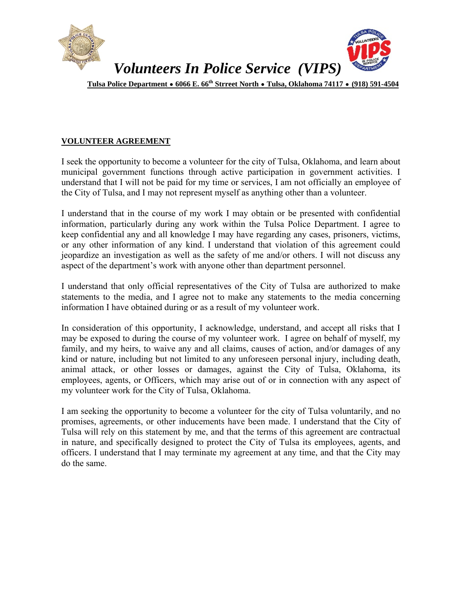

#### **VOLUNTEER AGREEMENT**

I seek the opportunity to become a volunteer for the city of Tulsa, Oklahoma, and learn about municipal government functions through active participation in government activities. I understand that I will not be paid for my time or services, I am not officially an employee of the City of Tulsa, and I may not represent myself as anything other than a volunteer.

I understand that in the course of my work I may obtain or be presented with confidential information, particularly during any work within the Tulsa Police Department. I agree to keep confidential any and all knowledge I may have regarding any cases, prisoners, victims, or any other information of any kind. I understand that violation of this agreement could jeopardize an investigation as well as the safety of me and/or others. I will not discuss any aspect of the department's work with anyone other than department personnel.

I understand that only official representatives of the City of Tulsa are authorized to make statements to the media, and I agree not to make any statements to the media concerning information I have obtained during or as a result of my volunteer work.

In consideration of this opportunity, I acknowledge, understand, and accept all risks that I may be exposed to during the course of my volunteer work. I agree on behalf of myself, my family, and my heirs, to waive any and all claims, causes of action, and/or damages of any kind or nature, including but not limited to any unforeseen personal injury, including death, animal attack, or other losses or damages, against the City of Tulsa, Oklahoma, its employees, agents, or Officers, which may arise out of or in connection with any aspect of my volunteer work for the City of Tulsa, Oklahoma.

I am seeking the opportunity to become a volunteer for the city of Tulsa voluntarily, and no promises, agreements, or other inducements have been made. I understand that the City of Tulsa will rely on this statement by me, and that the terms of this agreement are contractual in nature, and specifically designed to protect the City of Tulsa its employees, agents, and officers. I understand that I may terminate my agreement at any time, and that the City may do the same.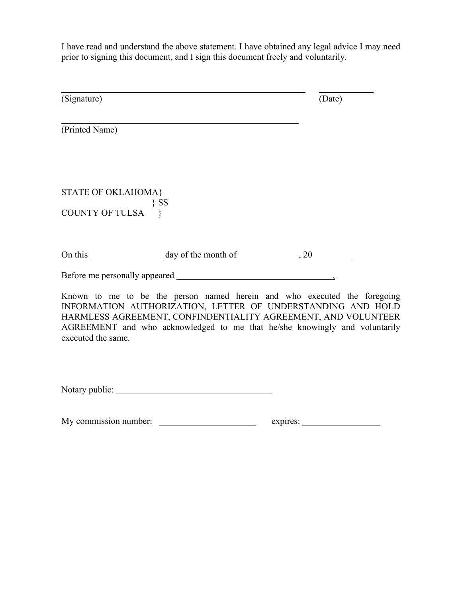I have read and understand the above statement. I have obtained any legal advice I may need prior to signing this document, and I sign this document freely and voluntarily.

| (Signature)                   |                                | (Date)                                                                                                                                                                                                                                                                                 |
|-------------------------------|--------------------------------|----------------------------------------------------------------------------------------------------------------------------------------------------------------------------------------------------------------------------------------------------------------------------------------|
|                               |                                |                                                                                                                                                                                                                                                                                        |
| (Printed Name)                |                                |                                                                                                                                                                                                                                                                                        |
| <b>STATE OF OKLAHOMA}</b>     |                                |                                                                                                                                                                                                                                                                                        |
| $\{SS\}$<br>COUNTY OF TULSA } |                                |                                                                                                                                                                                                                                                                                        |
|                               | On this day of the month of 20 |                                                                                                                                                                                                                                                                                        |
|                               |                                |                                                                                                                                                                                                                                                                                        |
| executed the same.            |                                | Known to me to be the person named herein and who executed the foregoing<br>INFORMATION AUTHORIZATION, LETTER OF UNDERSTANDING AND HOLD<br>HARMLESS AGREEMENT, CONFINDENTIALITY AGREEMENT, AND VOLUNTEER<br>AGREEMENT and who acknowledged to me that he/she knowingly and voluntarily |

Notary public:

My commission number: expires: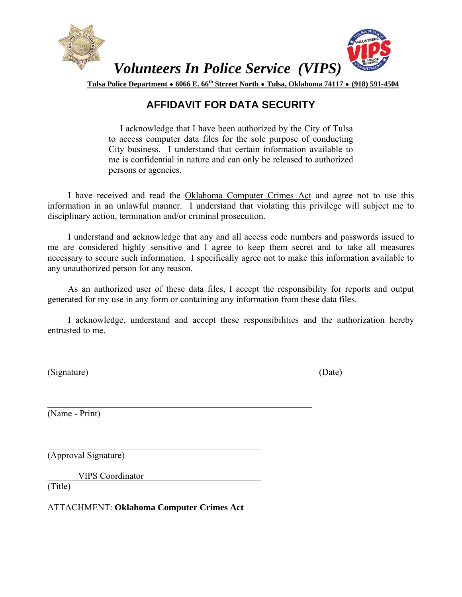

## **AFFIDAVIT FOR DATA SECURITY**

 I acknowledge that I have been authorized by the City of Tulsa to access computer data files for the sole purpose of conducting City business. I understand that certain information available to me is confidential in nature and can only be released to authorized persons or agencies.

 I have received and read the Oklahoma Computer Crimes Act and agree not to use this information in an unlawful manner. I understand that violating this privilege will subject me to disciplinary action, termination and/or criminal prosecution.

 I understand and acknowledge that any and all access code numbers and passwords issued to me are considered highly sensitive and I agree to keep them secret and to take all measures necessary to secure such information. I specifically agree not to make this information available to any unauthorized person for any reason.

 As an authorized user of these data files, I accept the responsibility for reports and output generated for my use in any form or containing any information from these data files.

 I acknowledge, understand and accept these responsibilities and the authorization hereby entrusted to me.

(Signature) (Date)

 $\overline{a}$ 

l

l

(Name - Print)

(Approval Signature)

VIPS Coordinator

(Title)

ATTACHMENT: **Oklahoma Computer Crimes Act**